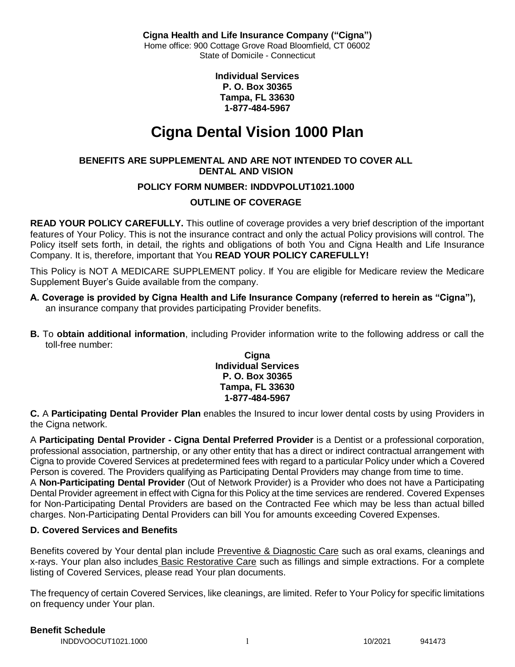**Individual Services P. O. Box 30365 Tampa, FL 33630 1-877-484-5967**

# **Cigna Dental Vision 1000 Plan**

### **BENEFITS ARE SUPPLEMENTAL AND ARE NOT INTENDED TO COVER ALL DENTAL AND VISION**

### **POLICY FORM NUMBER: INDDVPOLUT1021.1000**

### **OUTLINE OF COVERAGE**

**READ YOUR POLICY CAREFULLY.** This outline of coverage provides a very brief description of the important features of Your Policy. This is not the insurance contract and only the actual Policy provisions will control. The Policy itself sets forth, in detail, the rights and obligations of both You and Cigna Health and Life Insurance Company. It is, therefore, important that You **READ YOUR POLICY CAREFULLY!** 

This Policy is NOT A MEDICARE SUPPLEMENT policy. If You are eligible for Medicare review the Medicare Supplement Buyer's Guide available from the company.

- **A. Coverage is provided by Cigna Health and Life Insurance Company (referred to herein as "Cigna"),**  an insurance company that provides participating Provider benefits.
- **B.** To **obtain additional information**, including Provider information write to the following address or call the toll-free number:

### **Cigna Individual Services P. O. Box 30365 Tampa, FL 33630 1-877-484-5967**

**C.** A **Participating Dental Provider Plan** enables the Insured to incur lower dental costs by using Providers in the Cigna network.

A **Participating Dental Provider - Cigna Dental Preferred Provider** is a Dentist or a professional corporation, professional association, partnership, or any other entity that has a direct or indirect contractual arrangement with Cigna to provide Covered Services at predetermined fees with regard to a particular Policy under which a Covered Person is covered. The Providers qualifying as Participating Dental Providers may change from time to time. A **Non-Participating Dental Provider** (Out of Network Provider) is a Provider who does not have a Participating Dental Provider agreement in effect with Cigna for this Policy at the time services are rendered. Covered Expenses for Non-Participating Dental Providers are based on the Contracted Fee which may be less than actual billed charges. Non-Participating Dental Providers can bill You for amounts exceeding Covered Expenses.

### **D. Covered Services and Benefits**

Benefits covered by Your dental plan include Preventive & Diagnostic Care such as oral exams, cleanings and x-rays. Your plan also includes Basic Restorative Care such as fillings and simple extractions. For a complete listing of Covered Services, please read Your plan documents.

The frequency of certain Covered Services, like cleanings, are limited. Refer to Your Policy for specific limitations on frequency under Your plan.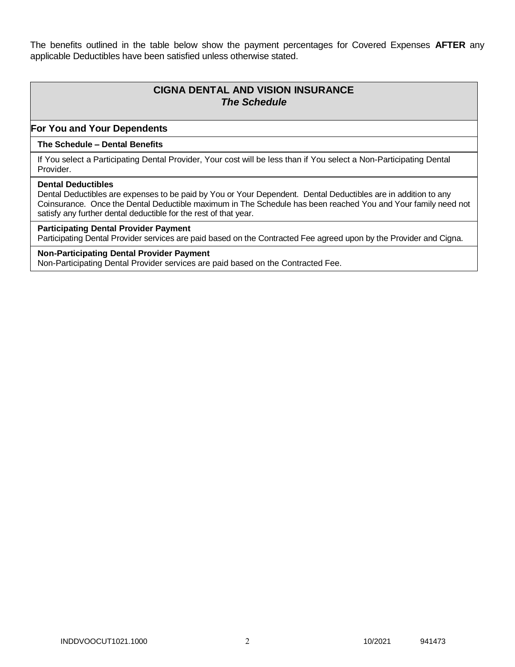The benefits outlined in the table below show the payment percentages for Covered Expenses **AFTER** any applicable Deductibles have been satisfied unless otherwise stated.

# **CIGNA DENTAL AND VISION INSURANCE** *The Schedule*

### **For You and Your Dependents**

### **The Schedule – Dental Benefits**

If You select a Participating Dental Provider, Your cost will be less than if You select a Non-Participating Dental Provider.

#### **Dental Deductibles**

Dental Deductibles are expenses to be paid by You or Your Dependent. Dental Deductibles are in addition to any Coinsurance. Once the Dental Deductible maximum in The Schedule has been reached You and Your family need not satisfy any further dental deductible for the rest of that year.

### **Participating Dental Provider Payment**

Participating Dental Provider services are paid based on the Contracted Fee agreed upon by the Provider and Cigna.

#### **Non-Participating Dental Provider Payment**

Non-Participating Dental Provider services are paid based on the Contracted Fee.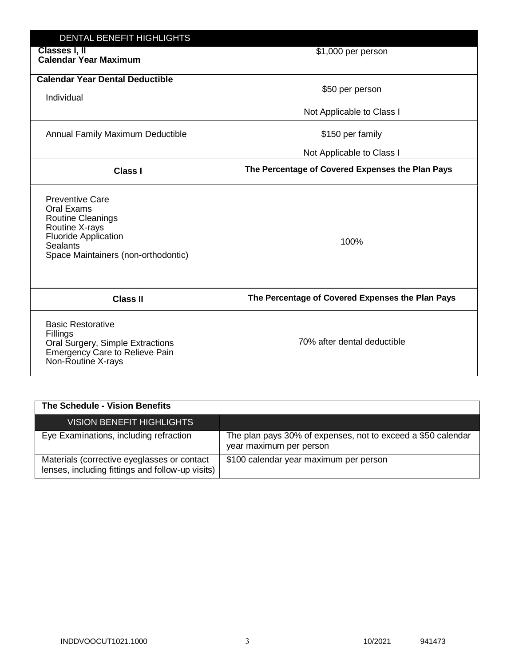| <b>DENTAL BENEFIT HIGHLIGHTS</b>                                                                                                                                            |                                                  |
|-----------------------------------------------------------------------------------------------------------------------------------------------------------------------------|--------------------------------------------------|
| Classes I, II<br><b>Calendar Year Maximum</b>                                                                                                                               | \$1,000 per person                               |
| <b>Calendar Year Dental Deductible</b><br>Individual                                                                                                                        | \$50 per person                                  |
|                                                                                                                                                                             | Not Applicable to Class I                        |
| Annual Family Maximum Deductible                                                                                                                                            | \$150 per family                                 |
|                                                                                                                                                                             | Not Applicable to Class I                        |
| <b>Class I</b>                                                                                                                                                              | The Percentage of Covered Expenses the Plan Pays |
| <b>Preventive Care</b><br>Oral Exams<br><b>Routine Cleanings</b><br>Routine X-rays<br><b>Fluoride Application</b><br><b>Sealants</b><br>Space Maintainers (non-orthodontic) | 100%                                             |
| <b>Class II</b>                                                                                                                                                             | The Percentage of Covered Expenses the Plan Pays |
| <b>Basic Restorative</b><br>Fillings<br>Oral Surgery, Simple Extractions<br>Emergency Care to Relieve Pain<br>Non-Routine X-rays                                            | 70% after dental deductible                      |

| <b>The Schedule - Vision Benefits</b>                                                           |                                                                                         |
|-------------------------------------------------------------------------------------------------|-----------------------------------------------------------------------------------------|
| <b>VISION BENEFIT HIGHLIGHTS</b>                                                                |                                                                                         |
| Eye Examinations, including refraction                                                          | The plan pays 30% of expenses, not to exceed a \$50 calendar<br>year maximum per person |
| Materials (corrective eyeglasses or contact<br>lenses, including fittings and follow-up visits) | \$100 calendar year maximum per person                                                  |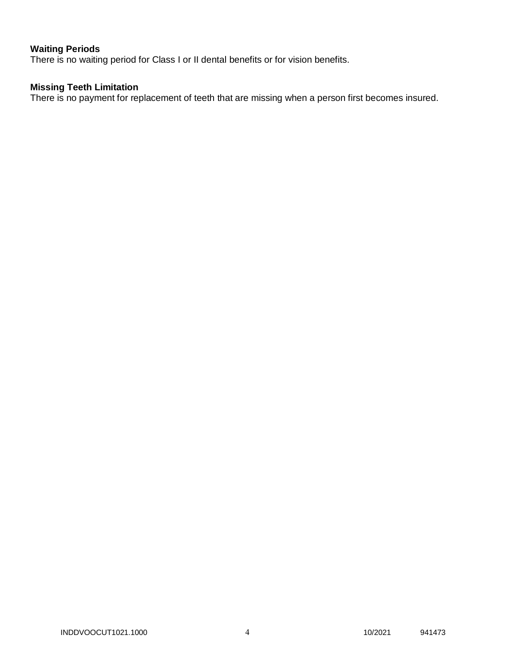# **Waiting Periods**

There is no waiting period for Class I or II dental benefits or for vision benefits.

### **Missing Teeth Limitation**

There is no payment for replacement of teeth that are missing when a person first becomes insured.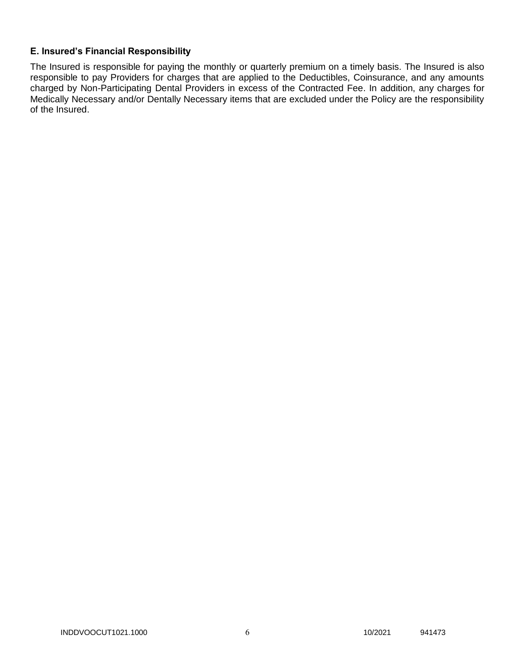### **E. Insured's Financial Responsibility**

The Insured is responsible for paying the monthly or quarterly premium on a timely basis. The Insured is also responsible to pay Providers for charges that are applied to the Deductibles, Coinsurance, and any amounts charged by Non-Participating Dental Providers in excess of the Contracted Fee. In addition, any charges for Medically Necessary and/or Dentally Necessary items that are excluded under the Policy are the responsibility of the Insured.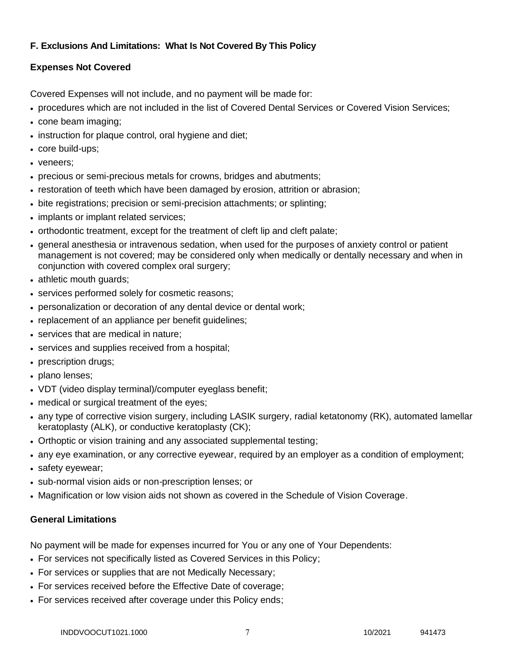## **F. Exclusions And Limitations: What Is Not Covered By This Policy**

# **Expenses Not Covered**

Covered Expenses will not include, and no payment will be made for:

- procedures which are not included in the list of Covered Dental Services or Covered Vision Services;
- cone beam imaging;
- instruction for plaque control, oral hygiene and diet;
- core build-ups;
- veneers:
- precious or semi-precious metals for crowns, bridges and abutments;
- restoration of teeth which have been damaged by erosion, attrition or abrasion;
- bite registrations; precision or semi-precision attachments; or splinting;
- implants or implant related services;
- orthodontic treatment, except for the treatment of cleft lip and cleft palate;
- general anesthesia or intravenous sedation, when used for the purposes of anxiety control or patient management is not covered; may be considered only when medically or dentally necessary and when in conjunction with covered complex oral surgery;
- athletic mouth guards;
- services performed solely for cosmetic reasons;
- personalization or decoration of any dental device or dental work;
- replacement of an appliance per benefit quidelines;
- services that are medical in nature:
- services and supplies received from a hospital;
- prescription drugs;
- plano lenses;
- VDT (video display terminal)/computer eyeglass benefit;
- medical or surgical treatment of the eyes;
- any type of corrective vision surgery, including LASIK surgery, radial ketatonomy (RK), automated lamellar keratoplasty (ALK), or conductive keratoplasty (CK);
- Orthoptic or vision training and any associated supplemental testing;
- any eye examination, or any corrective eyewear, required by an employer as a condition of employment;
- safety eyewear;
- sub-normal vision aids or non-prescription lenses; or
- Magnification or low vision aids not shown as covered in the Schedule of Vision Coverage.

# **General Limitations**

No payment will be made for expenses incurred for You or any one of Your Dependents:

- For services not specifically listed as Covered Services in this Policy;
- For services or supplies that are not Medically Necessary;
- For services received before the Effective Date of coverage;
- For services received after coverage under this Policy ends;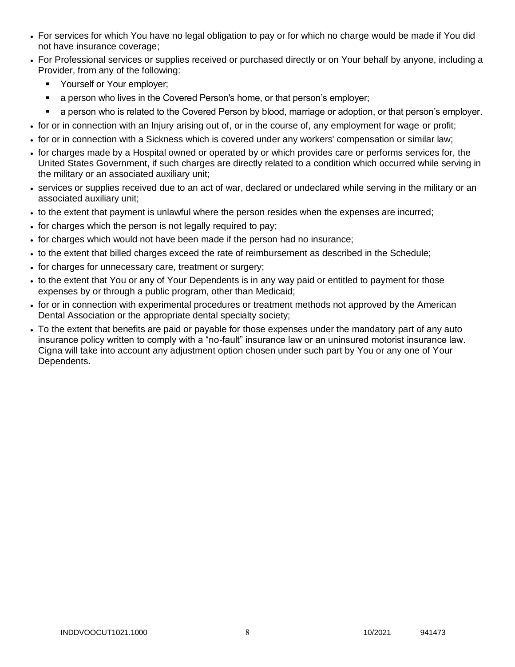- For services for which You have no legal obligation to pay or for which no charge would be made if You did not have insurance coverage;
- For Professional services or supplies received or purchased directly or on Your behalf by anyone, including a Provider, from any of the following:
	- Yourself or Your employer;
	- a person who lives in the Covered Person's home, or that person's employer;
	- a person who is related to the Covered Person by blood, marriage or adoption, or that person's employer.
- for or in connection with an Injury arising out of, or in the course of, any employment for wage or profit;
- for or in connection with a Sickness which is covered under any workers' compensation or similar law;
- for charges made by a Hospital owned or operated by or which provides care or performs services for, the United States Government, if such charges are directly related to a condition which occurred while serving in the military or an associated auxiliary unit;
- services or supplies received due to an act of war, declared or undeclared while serving in the military or an associated auxiliary unit;
- to the extent that payment is unlawful where the person resides when the expenses are incurred;
- for charges which the person is not legally required to pay;
- for charges which would not have been made if the person had no insurance;
- to the extent that billed charges exceed the rate of reimbursement as described in the Schedule;
- for charges for unnecessary care, treatment or surgery;
- to the extent that You or any of Your Dependents is in any way paid or entitled to payment for those expenses by or through a public program, other than Medicaid;
- for or in connection with experimental procedures or treatment methods not approved by the American Dental Association or the appropriate dental specialty society;
- To the extent that benefits are paid or payable for those expenses under the mandatory part of any auto insurance policy written to comply with a "no-fault" insurance law or an uninsured motorist insurance law. Cigna will take into account any adjustment option chosen under such part by You or any one of Your Dependents.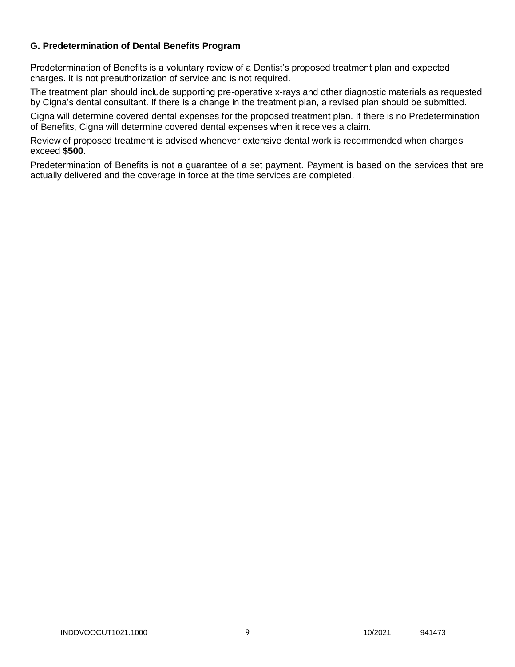### **G. Predetermination of Dental Benefits Program**

Predetermination of Benefits is a voluntary review of a Dentist's proposed treatment plan and expected charges. It is not preauthorization of service and is not required.

The treatment plan should include supporting pre-operative x-rays and other diagnostic materials as requested by Cigna's dental consultant. If there is a change in the treatment plan, a revised plan should be submitted.

Cigna will determine covered dental expenses for the proposed treatment plan. If there is no Predetermination of Benefits, Cigna will determine covered dental expenses when it receives a claim.

Review of proposed treatment is advised whenever extensive dental work is recommended when charges exceed **\$500**.

Predetermination of Benefits is not a guarantee of a set payment. Payment is based on the services that are actually delivered and the coverage in force at the time services are completed.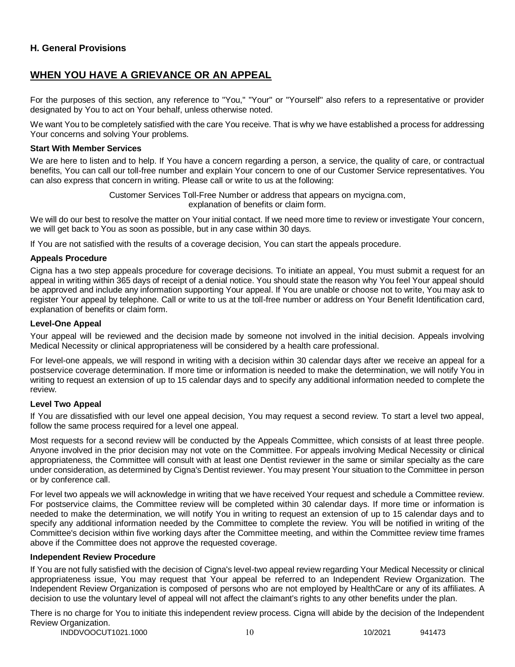### **H. General Provisions**

# **WHEN YOU HAVE A GRIEVANCE OR AN APPEAL**

For the purposes of this section, any reference to "You," "Your" or "Yourself" also refers to a representative or provider designated by You to act on Your behalf, unless otherwise noted.

We want You to be completely satisfied with the care You receive. That is why we have established a process for addressing Your concerns and solving Your problems.

#### **Start With Member Services**

We are here to listen and to help. If You have a concern regarding a person, a service, the quality of care, or contractual benefits, You can call our toll-free number and explain Your concern to one of our Customer Service representatives. You can also express that concern in writing. Please call or write to us at the following:

> Customer Services Toll-Free Number or address that appears on mycigna.com, explanation of benefits or claim form.

We will do our best to resolve the matter on Your initial contact. If we need more time to review or investigate Your concern, we will get back to You as soon as possible, but in any case within 30 days.

If You are not satisfied with the results of a coverage decision, You can start the appeals procedure.

#### **Appeals Procedure**

Cigna has a two step appeals procedure for coverage decisions. To initiate an appeal, You must submit a request for an appeal in writing within 365 days of receipt of a denial notice. You should state the reason why You feel Your appeal should be approved and include any information supporting Your appeal. If You are unable or choose not to write, You may ask to register Your appeal by telephone. Call or write to us at the toll-free number or address on Your Benefit Identification card, explanation of benefits or claim form.

#### **Level-One Appeal**

Your appeal will be reviewed and the decision made by someone not involved in the initial decision. Appeals involving Medical Necessity or clinical appropriateness will be considered by a health care professional.

For level-one appeals, we will respond in writing with a decision within 30 calendar days after we receive an appeal for a postservice coverage determination. If more time or information is needed to make the determination, we will notify You in writing to request an extension of up to 15 calendar days and to specify any additional information needed to complete the review.

### **Level Two Appeal**

If You are dissatisfied with our level one appeal decision, You may request a second review. To start a level two appeal, follow the same process required for a level one appeal.

Most requests for a second review will be conducted by the Appeals Committee, which consists of at least three people. Anyone involved in the prior decision may not vote on the Committee. For appeals involving Medical Necessity or clinical appropriateness, the Committee will consult with at least one Dentist reviewer in the same or similar specialty as the care under consideration, as determined by Cigna's Dentist reviewer. You may present Your situation to the Committee in person or by conference call.

For level two appeals we will acknowledge in writing that we have received Your request and schedule a Committee review. For postservice claims, the Committee review will be completed within 30 calendar days. If more time or information is needed to make the determination, we will notify You in writing to request an extension of up to 15 calendar days and to specify any additional information needed by the Committee to complete the review. You will be notified in writing of the Committee's decision within five working days after the Committee meeting, and within the Committee review time frames above if the Committee does not approve the requested coverage.

#### **Independent Review Procedure**

If You are not fully satisfied with the decision of Cigna's level-two appeal review regarding Your Medical Necessity or clinical appropriateness issue, You may request that Your appeal be referred to an Independent Review Organization. The Independent Review Organization is composed of persons who are not employed by HealthCare or any of its affiliates. A decision to use the voluntary level of appeal will not affect the claimant's rights to any other benefits under the plan.

INDDVOOCUT1021.1000 10 10 10/2021 941473 There is no charge for You to initiate this independent review process. Cigna will abide by the decision of the Independent Review Organization.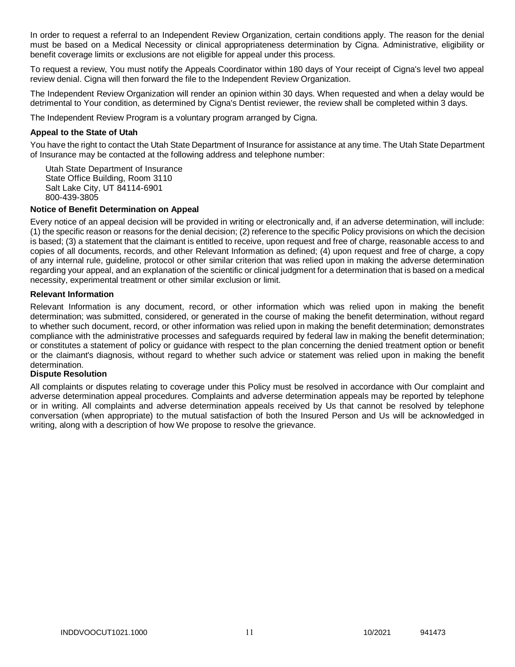In order to request a referral to an Independent Review Organization, certain conditions apply. The reason for the denial must be based on a Medical Necessity or clinical appropriateness determination by Cigna. Administrative, eligibility or benefit coverage limits or exclusions are not eligible for appeal under this process.

To request a review, You must notify the Appeals Coordinator within 180 days of Your receipt of Cigna's level two appeal review denial. Cigna will then forward the file to the Independent Review Organization.

The Independent Review Organization will render an opinion within 30 days. When requested and when a delay would be detrimental to Your condition, as determined by Cigna's Dentist reviewer, the review shall be completed within 3 days.

The Independent Review Program is a voluntary program arranged by Cigna.

### **Appeal to the State of Utah**

You have the right to contact the Utah State Department of Insurance for assistance at any time. The Utah State Department of Insurance may be contacted at the following address and telephone number:

Utah State Department of Insurance State Office Building, Room 3110 Salt Lake City, UT 84114-6901 800-439-3805

#### **Notice of Benefit Determination on Appeal**

Every notice of an appeal decision will be provided in writing or electronically and, if an adverse determination, will include: (1) the specific reason or reasons for the denial decision; (2) reference to the specific Policy provisions on which the decision is based; (3) a statement that the claimant is entitled to receive, upon request and free of charge, reasonable access to and copies of all documents, records, and other Relevant Information as defined; (4) upon request and free of charge, a copy of any internal rule, guideline, protocol or other similar criterion that was relied upon in making the adverse determination regarding your appeal, and an explanation of the scientific or clinical judgment for a determination that is based on a medical necessity, experimental treatment or other similar exclusion or limit.

### **Relevant Information**

Relevant Information is any document, record, or other information which was relied upon in making the benefit determination; was submitted, considered, or generated in the course of making the benefit determination, without regard to whether such document, record, or other information was relied upon in making the benefit determination; demonstrates compliance with the administrative processes and safeguards required by federal law in making the benefit determination; or constitutes a statement of policy or guidance with respect to the plan concerning the denied treatment option or benefit or the claimant's diagnosis, without regard to whether such advice or statement was relied upon in making the benefit determination.

#### **Dispute Resolution**

All complaints or disputes relating to coverage under this Policy must be resolved in accordance with Our complaint and adverse determination appeal procedures. Complaints and adverse determination appeals may be reported by telephone or in writing. All complaints and adverse determination appeals received by Us that cannot be resolved by telephone conversation (when appropriate) to the mutual satisfaction of both the Insured Person and Us will be acknowledged in writing, along with a description of how We propose to resolve the grievance.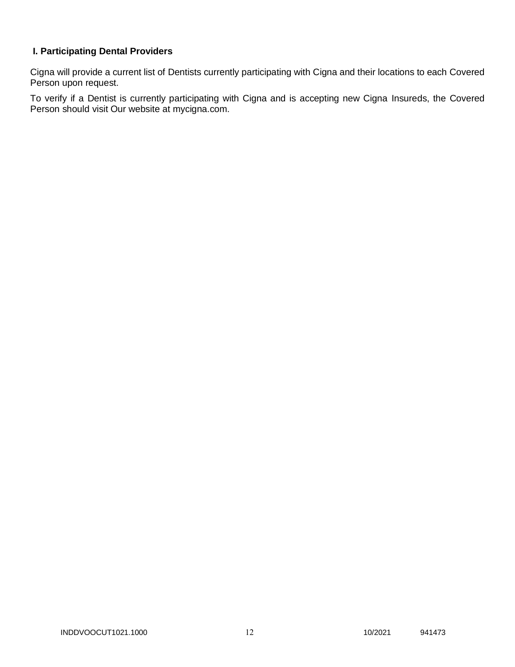# **I. Participating Dental Providers**

Cigna will provide a current list of Dentists currently participating with Cigna and their locations to each Covered Person upon request.

To verify if a Dentist is currently participating with Cigna and is accepting new Cigna Insureds, the Covered Person should visit Our website at mycigna.com.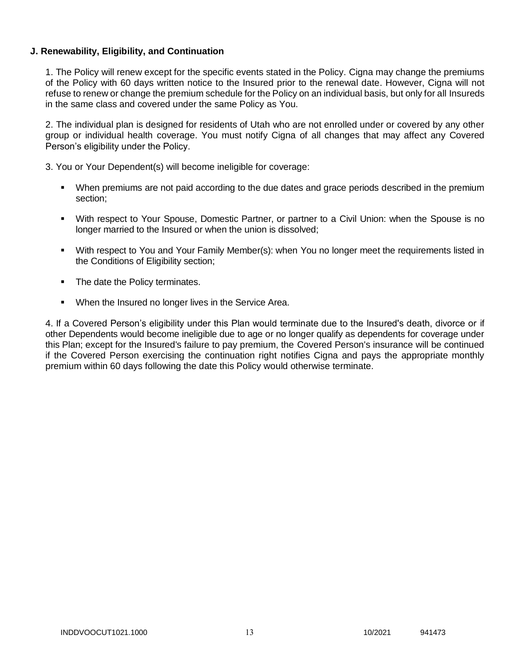### **J. Renewability, Eligibility, and Continuation**

1. The Policy will renew except for the specific events stated in the Policy. Cigna may change the premiums of the Policy with 60 days written notice to the Insured prior to the renewal date. However, Cigna will not refuse to renew or change the premium schedule for the Policy on an individual basis, but only for all Insureds in the same class and covered under the same Policy as You.

2. The individual plan is designed for residents of Utah who are not enrolled under or covered by any other group or individual health coverage. You must notify Cigna of all changes that may affect any Covered Person's eligibility under the Policy.

3. You or Your Dependent(s) will become ineligible for coverage:

- When premiums are not paid according to the due dates and grace periods described in the premium section;
- With respect to Your Spouse, Domestic Partner, or partner to a Civil Union: when the Spouse is no longer married to the Insured or when the union is dissolved;
- With respect to You and Your Family Member(s): when You no longer meet the requirements listed in the Conditions of Eligibility section;
- The date the Policy terminates.
- **When the Insured no longer lives in the Service Area.**

4. If a Covered Person's eligibility under this Plan would terminate due to the Insured's death, divorce or if other Dependents would become ineligible due to age or no longer qualify as dependents for coverage under this Plan; except for the Insured's failure to pay premium, the Covered Person's insurance will be continued if the Covered Person exercising the continuation right notifies Cigna and pays the appropriate monthly premium within 60 days following the date this Policy would otherwise terminate.